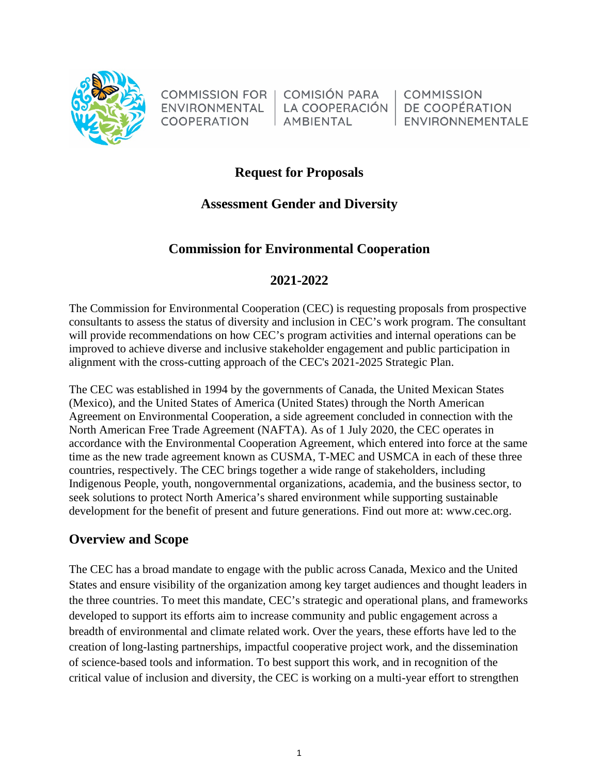

COMMISSION FOR | COMISIÓN PARA ENVIRONMENTAL COOPFRATION

LA COOPERACIÓN AMBIFNTAL

**COMMISSION** DE COOPÉRATION **FNVIRONNFMFNTALF** 

## **Request for Proposals**

# **Assessment Gender and Diversity**

# **Commission for Environmental Cooperation**

# **2021-2022**

The Commission for Environmental Cooperation (CEC) is requesting proposals from prospective consultants to assess the status of diversity and inclusion in CEC's work program. The consultant will provide recommendations on how CEC's program activities and internal operations can be improved to achieve diverse and inclusive stakeholder engagement and public participation in alignment with the cross-cutting approach of the CEC's 2021-2025 Strategic Plan.

The CEC was established in 1994 by the governments of Canada, the United Mexican States (Mexico), and the United States of America (United States) through the North American Agreement on Environmental Cooperation, a side agreement concluded in connection with the North American Free Trade Agreement (NAFTA). As of 1 July 2020, the CEC operates in accordance with the Environmental Cooperation Agreement, which entered into force at the same time as the new trade agreement known as CUSMA, T-MEC and USMCA in each of these three countries, respectively. The CEC brings together a wide range of stakeholders, including Indigenous People, youth, nongovernmental organizations, academia, and the business sector, to seek solutions to protect North America's shared environment while supporting sustainable development for the benefit of present and future generations. Find out more at: www.cec.org.

# **Overview and Scope**

The CEC has a broad mandate to engage with the public across Canada, Mexico and the United States and ensure visibility of the organization among key target audiences and thought leaders in the three countries. To meet this mandate, CEC's strategic and operational plans, and frameworks developed to support its efforts aim to increase community and public engagement across a breadth of environmental and climate related work. Over the years, these efforts have led to the creation of long-lasting partnerships, impactful cooperative project work, and the dissemination of science-based tools and information. To best support this work, and in recognition of the critical value of inclusion and diversity, the CEC is working on a multi-year effort to strengthen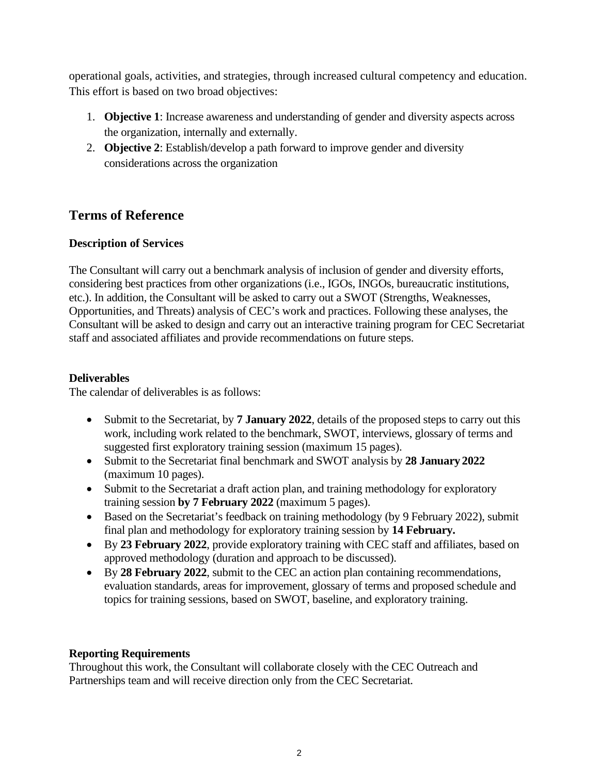operational goals, activities, and strategies, through increased cultural competency and education. This effort is based on two broad objectives:

- 1. **Objective 1**: Increase awareness and understanding of gender and diversity aspects across the organization, internally and externally.
- 2. **Objective 2**: Establish/develop a path forward to improve gender and diversity considerations across the organization

## **Terms of Reference**

## **Description of Services**

The Consultant will carry out a benchmark analysis of inclusion of gender and diversity efforts, considering best practices from other organizations (i.e., IGOs, INGOs, bureaucratic institutions, etc.). In addition, the Consultant will be asked to carry out a SWOT (Strengths, Weaknesses, Opportunities, and Threats) analysis of CEC's work and practices. Following these analyses, the Consultant will be asked to design and carry out an interactive training program for CEC Secretariat staff and associated affiliates and provide recommendations on future steps.

### **Deliverables**

The calendar of deliverables is as follows:

- Submit to the Secretariat, by **7 January 2022**, details of the proposed steps to carry out this work, including work related to the benchmark, SWOT, interviews, glossary of terms and suggested first exploratory training session (maximum 15 pages).
- Submit to the Secretariat final benchmark and SWOT analysis by **28 January 2022** (maximum 10 pages).
- Submit to the Secretariat a draft action plan, and training methodology for exploratory training session **by 7 February 2022** (maximum 5 pages).
- Based on the Secretariat's feedback on training methodology (by 9 February 2022), submit final plan and methodology for exploratory training session by **14 February.**
- By **23 February 2022**, provide exploratory training with CEC staff and affiliates, based on approved methodology (duration and approach to be discussed).
- By **28 February 2022**, submit to the CEC an action plan containing recommendations, evaluation standards, areas for improvement, glossary of terms and proposed schedule and topics for training sessions, based on SWOT, baseline, and exploratory training.

## **Reporting Requirements**

Throughout this work, the Consultant will collaborate closely with the CEC Outreach and Partnerships team and will receive direction only from the CEC Secretariat.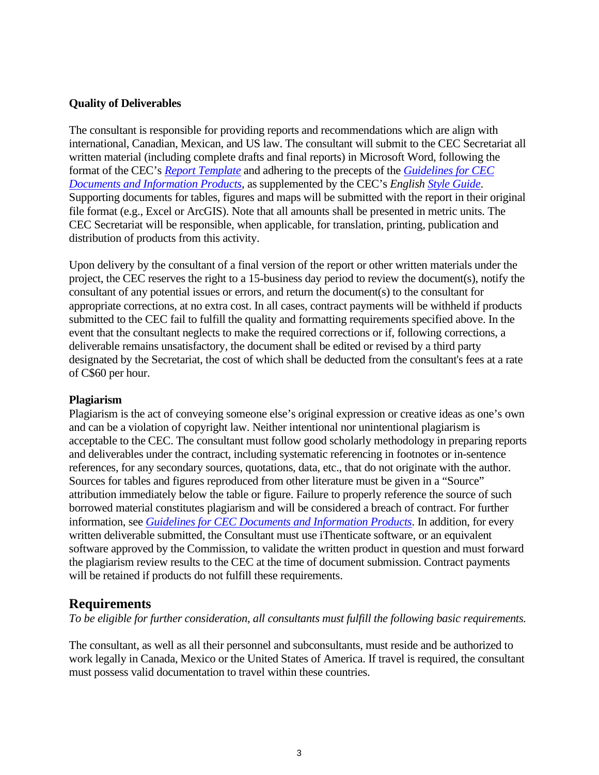### **Quality of Deliverables**

The consultant is responsible for providing reports and recommendations which are align with international, Canadian, Mexican, and US law. The consultant will submit to the CEC Secretariat all written material (including complete drafts and final reports) in Microsoft Word, following the format of the CEC's *[Report Template](http://www.cec.org/about-us/opportunities/useful-documents)* and adhering to the precepts of the *[Guidelines for CEC](http://www.cec.org/about-us/opportunities/useful-documents)  [Documents and Information Products](http://www.cec.org/about-us/opportunities/useful-documents)*, as supplemented by the CEC's *English [Style Guide](http://www.cec.org/about-us/opportunities/useful-documents)*. Supporting documents for tables, figures and maps will be submitted with the report in their original file format (e.g., Excel or ArcGIS). Note that all amounts shall be presented in metric units. The CEC Secretariat will be responsible, when applicable, for translation, printing, publication and distribution of products from this activity.

Upon delivery by the consultant of a final version of the report or other written materials under the project, the CEC reserves the right to a 15-business day period to review the document(s), notify the consultant of any potential issues or errors, and return the document(s) to the consultant for appropriate corrections, at no extra cost. In all cases, contract payments will be withheld if products submitted to the CEC fail to fulfill the quality and formatting requirements specified above. In the event that the consultant neglects to make the required corrections or if, following corrections, a deliverable remains unsatisfactory, the document shall be edited or revised by a third party designated by the Secretariat, the cost of which shall be deducted from the consultant's fees at a rate of C\$60 per hour.

#### **Plagiarism**

Plagiarism is the act of conveying someone else's original expression or creative ideas as one's own and can be a violation of copyright law. Neither intentional nor unintentional plagiarism is acceptable to the CEC. The consultant must follow good scholarly methodology in preparing reports and deliverables under the contract, including systematic referencing in footnotes or in-sentence references, for any secondary sources, quotations, data, etc., that do not originate with the author. Sources for tables and figures reproduced from other literature must be given in a "Source" attribution immediately below the table or figure. Failure to properly reference the source of such borrowed material constitutes plagiarism and will be considered a breach of contract. For further information, see *[Guidelines for CEC Documents and Information Products](http://www.cec.org/about-us/opportunities/useful-documents)*. In addition, for every written deliverable submitted, the Consultant must use iThenticate software, or an equivalent software approved by the Commission, to validate the written product in question and must forward the plagiarism review results to the CEC at the time of document submission. Contract payments will be retained if products do not fulfill these requirements.

## **Requirements**

*To be eligible for further consideration, all consultants must fulfill the following basic requirements.*

The consultant, as well as all their personnel and subconsultants, must reside and be authorized to work legally in Canada, Mexico or the United States of America. If travel is required, the consultant must possess valid documentation to travel within these countries.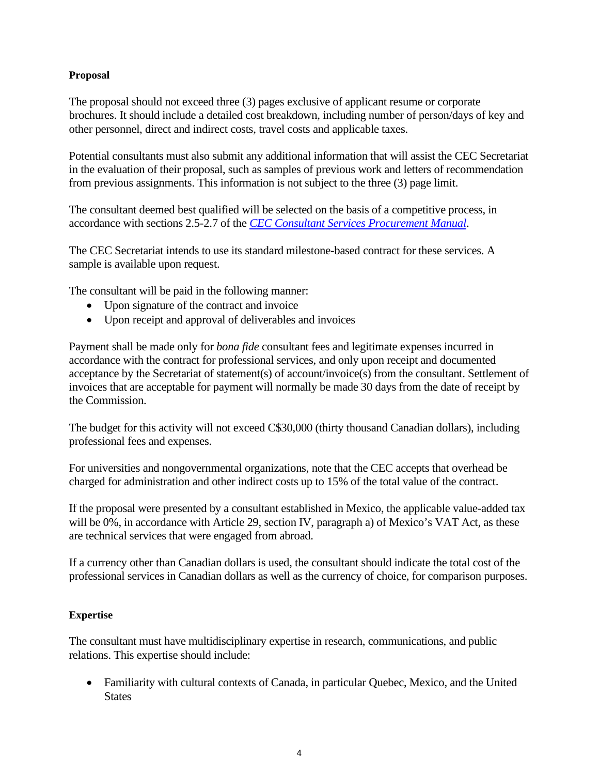### **Proposal**

The proposal should not exceed three (3) pages exclusive of applicant resume or corporate brochures. It should include a detailed cost breakdown, including number of person/days of key and other personnel, direct and indirect costs, travel costs and applicable taxes.

Potential consultants must also submit any additional information that will assist the CEC Secretariat in the evaluation of their proposal, such as samples of previous work and letters of recommendation from previous assignments. This information is not subject to the three (3) page limit.

The consultant deemed best qualified will be selected on the basis of a competitive process, in accordance with sections 2.5-2.7 of the *[CEC Consultant Services Procurement Manual](http://www.cec.org/about-us/opportunities/useful-documents)*.

The CEC Secretariat intends to use its standard milestone-based contract for these services. A sample is available upon request.

The consultant will be paid in the following manner:

- Upon signature of the contract and invoice
- Upon receipt and approval of deliverables and invoices

Payment shall be made only for *bona fide* consultant fees and legitimate expenses incurred in accordance with the contract for professional services, and only upon receipt and documented acceptance by the Secretariat of statement(s) of account/invoice(s) from the consultant. Settlement of invoices that are acceptable for payment will normally be made 30 days from the date of receipt by the Commission.

The budget for this activity will not exceed C\$30,000 (thirty thousand Canadian dollars), including professional fees and expenses.

For universities and nongovernmental organizations, note that the CEC accepts that overhead be charged for administration and other indirect costs up to 15% of the total value of the contract.

If the proposal were presented by a consultant established in Mexico, the applicable value-added tax will be 0%, in accordance with Article 29, section IV, paragraph a) of Mexico's VAT Act, as these are technical services that were engaged from abroad.

If a currency other than Canadian dollars is used, the consultant should indicate the total cost of the professional services in Canadian dollars as well as the currency of choice, for comparison purposes.

#### **Expertise**

The consultant must have multidisciplinary expertise in research, communications, and public relations. This expertise should include:

• Familiarity with cultural contexts of Canada, in particular Quebec, Mexico, and the United **States**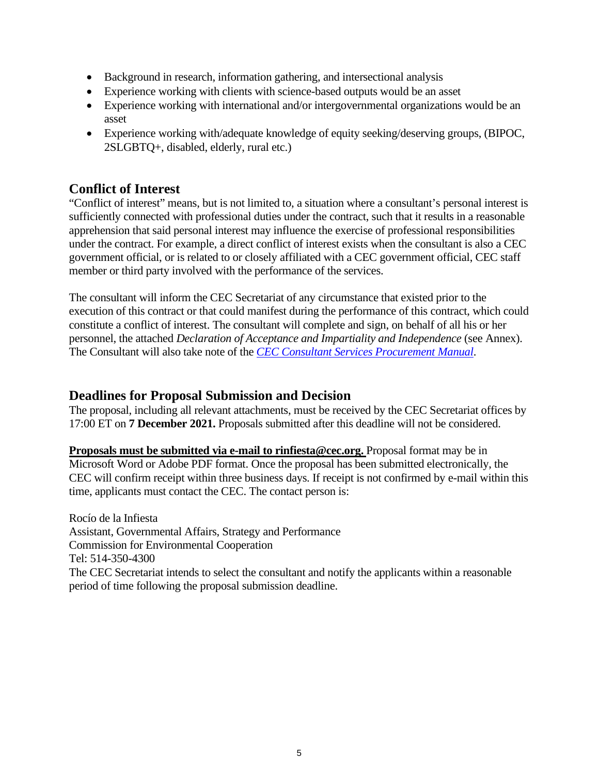- Background in research, information gathering, and intersectional analysis
- Experience working with clients with science-based outputs would be an asset
- Experience working with international and/or intergovernmental organizations would be an asset
- Experience working with/adequate knowledge of equity seeking/deserving groups, (BIPOC, 2SLGBTQ+, disabled, elderly, rural etc.)

## **Conflict of Interest**

"Conflict of interest" means, but is not limited to, a situation where a consultant's personal interest is sufficiently connected with professional duties under the contract, such that it results in a reasonable apprehension that said personal interest may influence the exercise of professional responsibilities under the contract. For example, a direct conflict of interest exists when the consultant is also a CEC government official, or is related to or closely affiliated with a CEC government official, CEC staff member or third party involved with the performance of the services.

The consultant will inform the CEC Secretariat of any circumstance that existed prior to the execution of this contract or that could manifest during the performance of this contract, which could constitute a conflict of interest. The consultant will complete and sign, on behalf of all his or her personnel, the attached *Declaration of Acceptance and Impartiality and Independence* (see Annex). The Consultant will also take note of the *[CEC Consultant Services Procurement Manual](http://www.cec.org/about-us/opportunities/useful-documents)*.

## **Deadlines for Proposal Submission and Decision**

The proposal, including all relevant attachments, must be received by the CEC Secretariat offices by 17:00 ET on **7 December 2021.** Proposals submitted after this deadline will not be considered.

**Proposals must be submitted via e-mail to rinfiesta@cec.org.** Proposal format may be in Microsoft Word or Adobe PDF format. Once the proposal has been submitted electronically, the CEC will confirm receipt within three business days. If receipt is not confirmed by e-mail within this time, applicants must contact the CEC. The contact person is:

Rocío de la Infiesta Assistant, Governmental Affairs, Strategy and Performance Commission for Environmental Cooperation Tel: 514-350-4300 The CEC Secretariat intends to select the consultant and notify the applicants within a reasonable period of time following the proposal submission deadline.